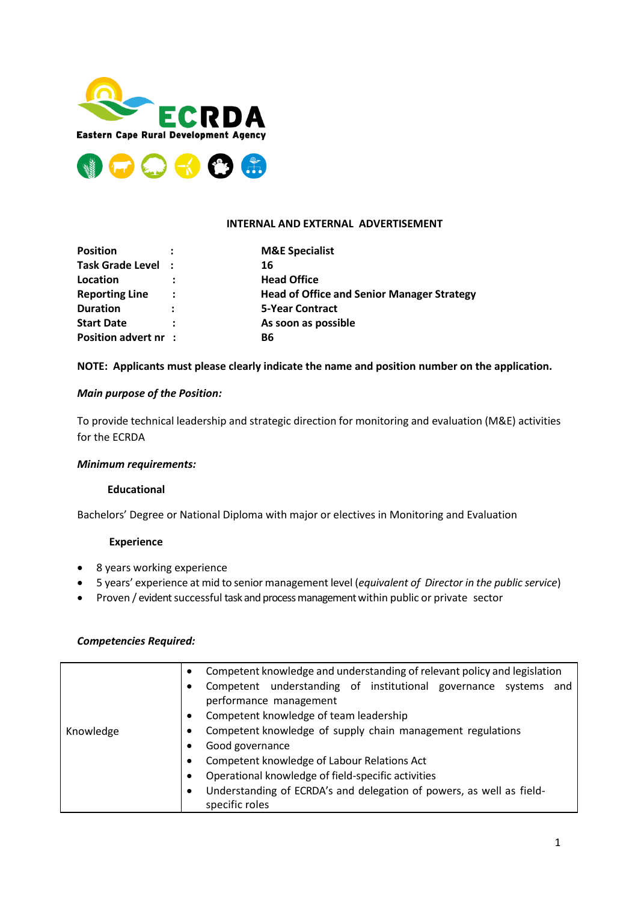



# **INTERNAL AND EXTERNAL ADVERTISEMENT**

| <b>Position</b>             |                      | <b>M&amp;E Specialist</b>                         |
|-----------------------------|----------------------|---------------------------------------------------|
| Task Grade Level :          |                      | 16                                                |
| Location                    |                      | <b>Head Office</b>                                |
| <b>Reporting Line</b>       | $\ddot{\phantom{a}}$ | <b>Head of Office and Senior Manager Strategy</b> |
| <b>Duration</b>             | $\ddot{\cdot}$       | <b>5-Year Contract</b>                            |
| <b>Start Date</b>           | ٠                    | As soon as possible                               |
| <b>Position advert nr :</b> |                      | <b>B6</b>                                         |

## **NOTE: Applicants must please clearly indicate the name and position number on the application.**

# *Main purpose of the Position:*

To provide technical leadership and strategic direction for monitoring and evaluation (M&E) activities for the ECRDA

## *Minimum requirements:*

## **Educational**

Bachelors' Degree or National Diploma with major or electives in Monitoring and Evaluation

## **Experience**

- 8 years working experience
- 5 years' experience at mid to senior management level (*equivalent of Director in the public service*)
- Proven / evident successful task and process management within public or private sector

# *Competencies Required:*

|           | Competent knowledge and understanding of relevant policy and legislation<br>$\bullet$ |                                                                                           |  |  |  |
|-----------|---------------------------------------------------------------------------------------|-------------------------------------------------------------------------------------------|--|--|--|
|           | ٠                                                                                     | Competent understanding of institutional governance systems and<br>performance management |  |  |  |
|           | $\bullet$                                                                             | Competent knowledge of team leadership                                                    |  |  |  |
| Knowledge | ٠                                                                                     | Competent knowledge of supply chain management regulations                                |  |  |  |
|           |                                                                                       | Good governance                                                                           |  |  |  |
|           | ٠                                                                                     | Competent knowledge of Labour Relations Act                                               |  |  |  |
|           | $\bullet$                                                                             | Operational knowledge of field-specific activities                                        |  |  |  |
|           |                                                                                       | Understanding of ECRDA's and delegation of powers, as well as field-                      |  |  |  |
|           |                                                                                       | specific roles                                                                            |  |  |  |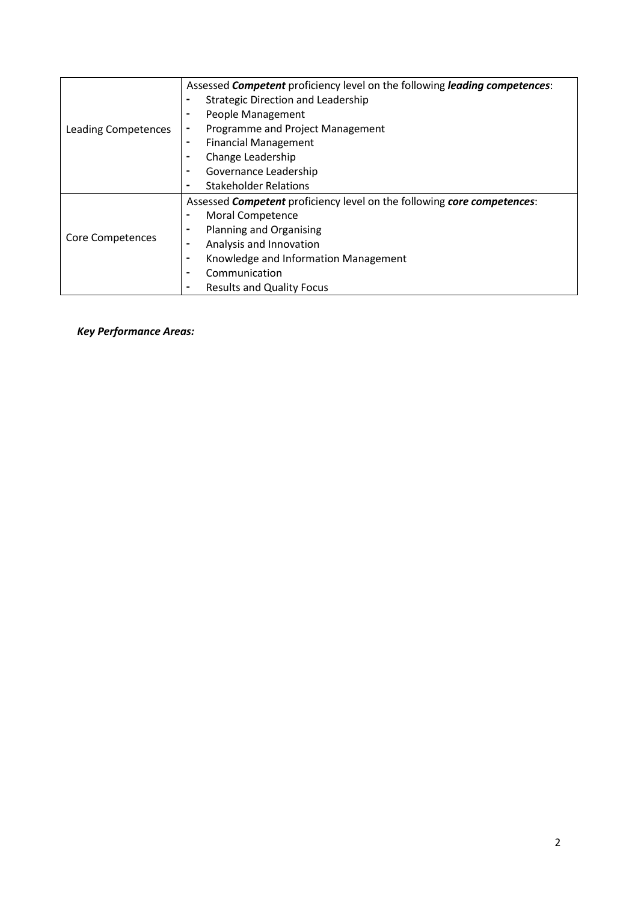| Leading Competences | Assessed <b>Competent</b> proficiency level on the following <i>leading competences</i> : |  |  |
|---------------------|-------------------------------------------------------------------------------------------|--|--|
|                     | <b>Strategic Direction and Leadership</b><br>$\blacksquare$                               |  |  |
|                     | People Management<br>$\blacksquare$                                                       |  |  |
|                     | Programme and Project Management<br>$\blacksquare$                                        |  |  |
|                     | <b>Financial Management</b><br>$\blacksquare$                                             |  |  |
|                     | Change Leadership<br>$\blacksquare$                                                       |  |  |
|                     | Governance Leadership<br>$\blacksquare$                                                   |  |  |
|                     | <b>Stakeholder Relations</b><br>$\blacksquare$                                            |  |  |
| Core Competences    | Assessed <b>Competent</b> proficiency level on the following core competences:            |  |  |
|                     | Moral Competence<br>$\blacksquare$                                                        |  |  |
|                     | <b>Planning and Organising</b><br>۰                                                       |  |  |
|                     | Analysis and Innovation<br>$\blacksquare$                                                 |  |  |
|                     | Knowledge and Information Management<br>$\blacksquare$                                    |  |  |
|                     | Communication<br>$\blacksquare$                                                           |  |  |
|                     | <b>Results and Quality Focus</b><br>$\blacksquare$                                        |  |  |

*Key Performance Areas:*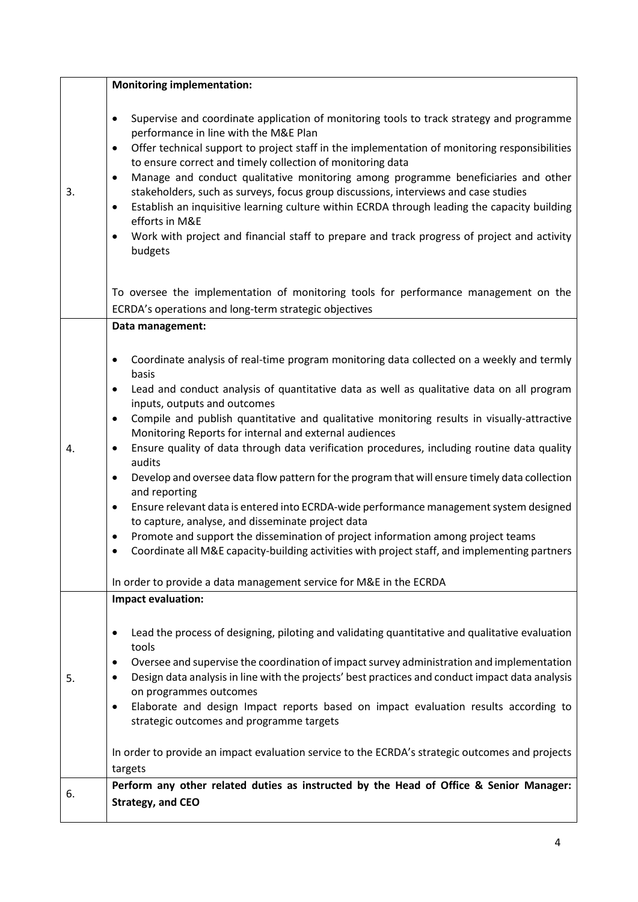|    | <b>Monitoring implementation:</b>                                                                                                                                                                                                                                                                                                                                                                                                                                                                                                                                                                                                                                                                                                                                                                                                                                                                                                                                                                                                                                               |
|----|---------------------------------------------------------------------------------------------------------------------------------------------------------------------------------------------------------------------------------------------------------------------------------------------------------------------------------------------------------------------------------------------------------------------------------------------------------------------------------------------------------------------------------------------------------------------------------------------------------------------------------------------------------------------------------------------------------------------------------------------------------------------------------------------------------------------------------------------------------------------------------------------------------------------------------------------------------------------------------------------------------------------------------------------------------------------------------|
| 3. | Supervise and coordinate application of monitoring tools to track strategy and programme<br>$\bullet$<br>performance in line with the M&E Plan<br>Offer technical support to project staff in the implementation of monitoring responsibilities<br>$\bullet$<br>to ensure correct and timely collection of monitoring data<br>Manage and conduct qualitative monitoring among programme beneficiaries and other<br>٠<br>stakeholders, such as surveys, focus group discussions, interviews and case studies<br>Establish an inquisitive learning culture within ECRDA through leading the capacity building<br>$\bullet$<br>efforts in M&E<br>Work with project and financial staff to prepare and track progress of project and activity<br>$\bullet$<br>budgets                                                                                                                                                                                                                                                                                                               |
|    | To oversee the implementation of monitoring tools for performance management on the<br>ECRDA's operations and long-term strategic objectives                                                                                                                                                                                                                                                                                                                                                                                                                                                                                                                                                                                                                                                                                                                                                                                                                                                                                                                                    |
|    | Data management:                                                                                                                                                                                                                                                                                                                                                                                                                                                                                                                                                                                                                                                                                                                                                                                                                                                                                                                                                                                                                                                                |
| 4. | Coordinate analysis of real-time program monitoring data collected on a weekly and termly<br>٠<br>basis<br>Lead and conduct analysis of quantitative data as well as qualitative data on all program<br>٠<br>inputs, outputs and outcomes<br>Compile and publish quantitative and qualitative monitoring results in visually-attractive<br>$\bullet$<br>Monitoring Reports for internal and external audiences<br>Ensure quality of data through data verification procedures, including routine data quality<br>٠<br>audits<br>Develop and oversee data flow pattern for the program that will ensure timely data collection<br>$\bullet$<br>and reporting<br>Ensure relevant data is entered into ECRDA-wide performance management system designed<br>٠<br>to capture, analyse, and disseminate project data<br>Promote and support the dissemination of project information among project teams<br>٠<br>Coordinate all M&E capacity-building activities with project staff, and implementing partners<br>In order to provide a data management service for M&E in the ECRDA |
|    | Impact evaluation:                                                                                                                                                                                                                                                                                                                                                                                                                                                                                                                                                                                                                                                                                                                                                                                                                                                                                                                                                                                                                                                              |
| 5. | Lead the process of designing, piloting and validating quantitative and qualitative evaluation<br>$\bullet$<br>tools<br>Oversee and supervise the coordination of impact survey administration and implementation<br>$\bullet$<br>Design data analysis in line with the projects' best practices and conduct impact data analysis<br>$\bullet$<br>on programmes outcomes<br>Elaborate and design Impact reports based on impact evaluation results according to<br>$\bullet$<br>strategic outcomes and programme targets                                                                                                                                                                                                                                                                                                                                                                                                                                                                                                                                                        |
|    | In order to provide an impact evaluation service to the ECRDA's strategic outcomes and projects<br>targets                                                                                                                                                                                                                                                                                                                                                                                                                                                                                                                                                                                                                                                                                                                                                                                                                                                                                                                                                                      |
| 6. | Perform any other related duties as instructed by the Head of Office & Senior Manager:<br><b>Strategy, and CEO</b>                                                                                                                                                                                                                                                                                                                                                                                                                                                                                                                                                                                                                                                                                                                                                                                                                                                                                                                                                              |